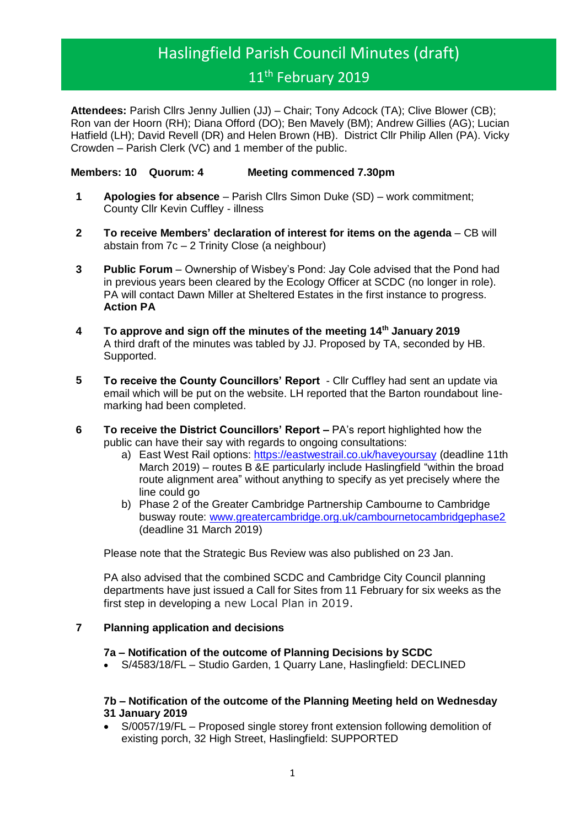# Haslingfield Parish Council Minutes (draft) 11<sup>th</sup> February 2019

**Attendees:** Parish Cllrs Jenny Jullien (JJ) – Chair; Tony Adcock (TA); Clive Blower (CB); Ron van der Hoorn (RH); Diana Offord (DO); Ben Mavely (BM); Andrew Gillies (AG); Lucian Hatfield (LH); David Revell (DR) and Helen Brown (HB). District Cllr Philip Allen (PA). Vicky Crowden – Parish Clerk (VC) and 1 member of the public.

# **Members: 10 Quorum: 4 Meeting commenced 7.30pm**

- **1 Apologies for absence** Parish Cllrs Simon Duke (SD) work commitment; County Cllr Kevin Cuffley - illness
- **2 To receive Members' declaration of interest for items on the agenda** CB will abstain from 7c – 2 Trinity Close (a neighbour)
- **3 Public Forum** Ownership of Wisbey's Pond: Jay Cole advised that the Pond had in previous years been cleared by the Ecology Officer at SCDC (no longer in role). PA will contact Dawn Miller at Sheltered Estates in the first instance to progress. **Action PA**
- **4 To approve and sign off the minutes of the meeting 14th January 2019** A third draft of the minutes was tabled by JJ. Proposed by TA, seconded by HB. Supported.
- **5 To receive the County Councillors' Report** Cllr Cuffley had sent an update via email which will be put on the website. LH reported that the Barton roundabout linemarking had been completed.
- **6 To receive the District Councillors' Report –** PA's report highlighted how the public can have their say with regards to ongoing consultations:
	- a) East West Rail options:<https://eastwestrail.co.uk/haveyoursay> (deadline 11th March 2019) – routes B &E particularly include Haslingfield "within the broad route alignment area" without anything to specify as yet precisely where the line could go
	- b) Phase 2 of the Greater Cambridge Partnership Cambourne to Cambridge busway route: [www.greatercambridge.org.uk/cambournetocambridgephase2](http://www.greatercambridge.org.uk/cambournetocambridgephase2) (deadline 31 March 2019)

Please note that the Strategic Bus Review was also published on 23 Jan.

PA also advised that the combined SCDC and Cambridge City Council planning departments have just issued a Call for Sites from 11 February for six weeks as the first step in developing a new Local Plan in 2019.

#### **7 Planning application and decisions**

#### **7a – Notification of the outcome of Planning Decisions by SCDC**

• S/4583/18/FL – Studio Garden, 1 Quarry Lane, Haslingfield: DECLINED

## **7b – Notification of the outcome of the Planning Meeting held on Wednesday 31 January 2019**

• S/0057/19/FL – Proposed single storey front extension following demolition of existing porch, 32 High Street, Haslingfield: SUPPORTED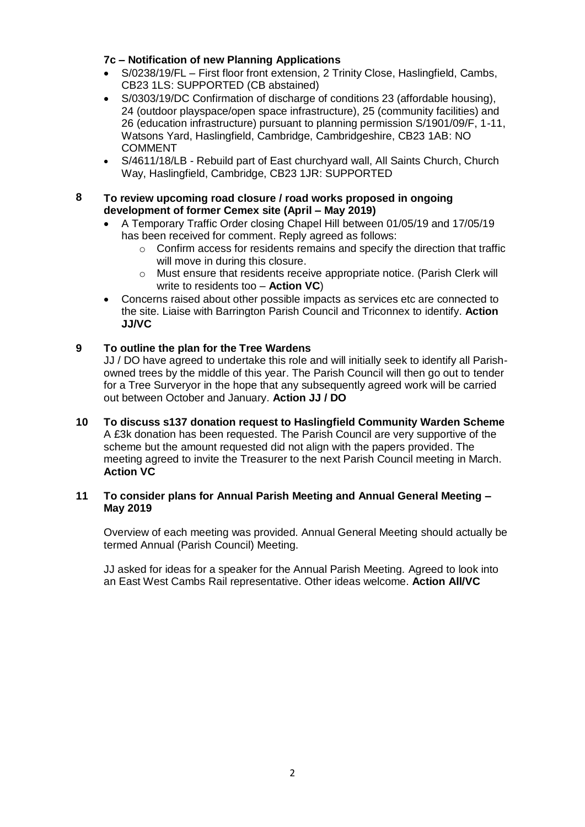# **7c – Notification of new Planning Applications**

- S/0238/19/FL First floor front extension, 2 Trinity Close, Haslingfield, Cambs, CB23 1LS: SUPPORTED (CB abstained)
- S/0303/19/DC Confirmation of discharge of conditions 23 (affordable housing), 24 (outdoor playspace/open space infrastructure), 25 (community facilities) and 26 (education infrastructure) pursuant to planning permission S/1901/09/F, 1-11, Watsons Yard, Haslingfield, Cambridge, Cambridgeshire, CB23 1AB: NO COMMENT
- S/4611/18/LB Rebuild part of East churchyard wall, All Saints Church, Church Way, Haslingfield, Cambridge, CB23 1JR: SUPPORTED

## **8 To review upcoming road closure / road works proposed in ongoing development of former Cemex site (April – May 2019)**

- A Temporary Traffic Order closing Chapel Hill between 01/05/19 and 17/05/19 has been received for comment. Reply agreed as follows:
	- o Confirm access for residents remains and specify the direction that traffic will move in during this closure.
	- o Must ensure that residents receive appropriate notice. (Parish Clerk will write to residents too – **Action VC**)
- Concerns raised about other possible impacts as services etc are connected to the site. Liaise with Barrington Parish Council and Triconnex to identify. **Action JJ/VC**

# **9 To outline the plan for the Tree Wardens**

JJ / DO have agreed to undertake this role and will initially seek to identify all Parishowned trees by the middle of this year. The Parish Council will then go out to tender for a Tree Surveryor in the hope that any subsequently agreed work will be carried out between October and January. **Action JJ / DO**

**10 To discuss s137 donation request to Haslingfield Community Warden Scheme**  A £3k donation has been requested. The Parish Council are very supportive of the scheme but the amount requested did not align with the papers provided. The meeting agreed to invite the Treasurer to the next Parish Council meeting in March. **Action VC**

## **11 To consider plans for Annual Parish Meeting and Annual General Meeting – May 2019**

Overview of each meeting was provided. Annual General Meeting should actually be termed Annual (Parish Council) Meeting.

JJ asked for ideas for a speaker for the Annual Parish Meeting. Agreed to look into an East West Cambs Rail representative. Other ideas welcome. **Action All/VC**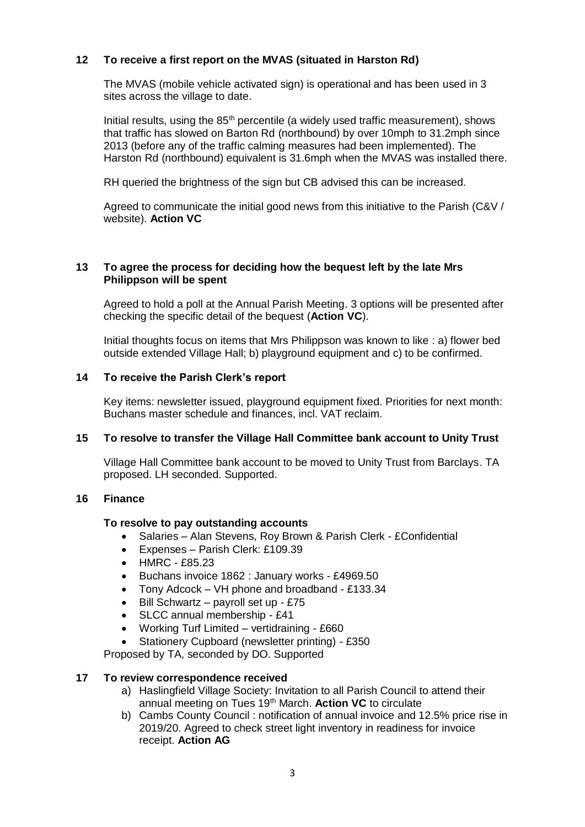# **12 To receive a first report on the MVAS (situated in Harston Rd)**

The MVAS (mobile vehicle activated sign) is operational and has been used in 3 sites across the village to date.

Initial results, using the  $85<sup>th</sup>$  percentile (a widely used traffic measurement), shows that traffic has slowed on Barton Rd (northbound) by over 10mph to 31.2mph since 2013 (before any of the traffic calming measures had been implemented). The Harston Rd (northbound) equivalent is 31.6mph when the MVAS was installed there.

RH queried the brightness of the sign but CB advised this can be increased.

Agreed to communicate the initial good news from this initiative to the Parish (C&V / website). **Action VC**

## **13 To agree the process for deciding how the bequest left by the late Mrs Philippson will be spent**

Agreed to hold a poll at the Annual Parish Meeting. 3 options will be presented after checking the specific detail of the bequest (**Action VC**).

Initial thoughts focus on items that Mrs Philippson was known to like : a) flower bed outside extended Village Hall; b) playground equipment and c) to be confirmed.

# **14 To receive the Parish Clerk's report**

Key items: newsletter issued, playground equipment fixed. Priorities for next month: Buchans master schedule and finances, incl. VAT reclaim.

# **15 To resolve to transfer the Village Hall Committee bank account to Unity Trust**

Village Hall Committee bank account to be moved to Unity Trust from Barclays. TA proposed. LH seconded. Supported.

#### **16 Finance**

#### **To resolve to pay outstanding accounts**

- Salaries Alan Stevens, Roy Brown & Parish Clerk £Confidential
- Expenses Parish Clerk: £109.39
- HMRC £85.23
- Buchans invoice 1862 : January works £4969.50
- Tony Adcock VH phone and broadband £133.34
- Bill Schwartz payroll set up  $£75$
- SLCC annual membership £41
- Working Turf Limited vertidraining £660
- Stationery Cupboard (newsletter printing) £350

Proposed by TA, seconded by DO. Supported

## **17 To review correspondence received**

- a) Haslingfield Village Society: Invitation to all Parish Council to attend their annual meeting on Tues 19<sup>th</sup> March. **Action VC** to circulate
- b) Cambs County Council : notification of annual invoice and 12.5% price rise in 2019/20. Agreed to check street light inventory in readiness for invoice receipt. **Action AG**